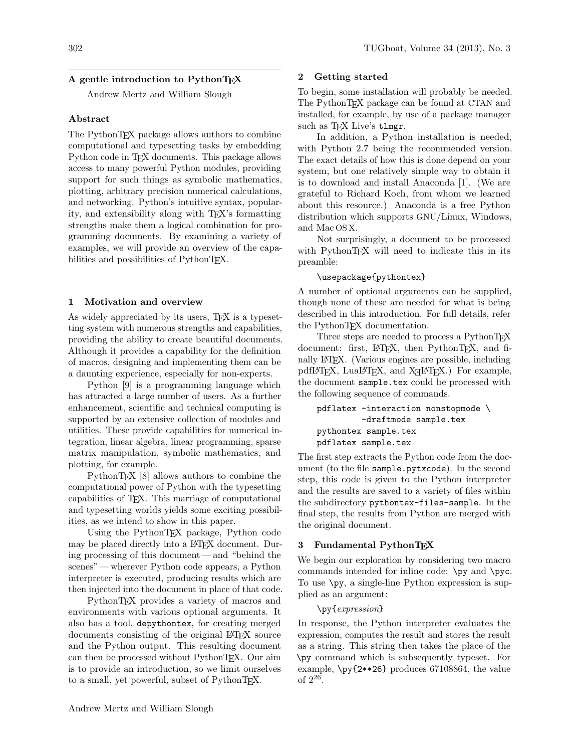# A gentle introduction to PythonTEX

Andrew Mertz and William Slough

# Abstract

The PythonTEX package allows authors to combine computational and typesetting tasks by embedding Python code in TEX documents. This package allows access to many powerful Python modules, providing support for such things as symbolic mathematics, plotting, arbitrary precision numerical calculations, and networking. Python's intuitive syntax, popularity, and extensibility along with TEX's formatting strengths make them a logical combination for programming documents. By examining a variety of examples, we will provide an overview of the capabilities and possibilities of PythonT<sub>E</sub>X.

# 1 Motivation and overview

As widely appreciated by its users, T<sub>F</sub>X is a typesetting system with numerous strengths and capabilities, providing the ability to create beautiful documents. Although it provides a capability for the definition of macros, designing and implementing them can be a daunting experience, especially for non-experts.

Python [9] is a programming language which has attracted a large number of users. As a further enhancement, scientific and technical computing is supported by an extensive collection of modules and utilities. These provide capabilities for numerical integration, linear algebra, linear programming, sparse matrix manipulation, symbolic mathematics, and plotting, for example.

PythonT<sub>F</sub>X [8] allows authors to combine the computational power of Python with the typesetting capabilities of TEX. This marriage of computational and typesetting worlds yields some exciting possibilities, as we intend to show in this paper.

Using the PythonTEX package, Python code may be placed directly into a IAT<sub>EX</sub> document. During processing of this document— and "behind the scenes" — wherever Python code appears, a Python interpreter is executed, producing results which are then injected into the document in place of that code.

PythonTEX provides a variety of macros and environments with various optional arguments. It also has a tool, depythontex, for creating merged documents consisting of the original LATEX source and the Python output. This resulting document can then be processed without PythonTEX. Our aim is to provide an introduction, so we limit ourselves to a small, yet powerful, subset of PythonTFX.

# 2 Getting started

To begin, some installation will probably be needed. The PythonTEX package can be found at CTAN and installed, for example, by use of a package manager such as T<sub>F</sub>X Live's tlmgr.

In addition, a Python installation is needed, with Python 2.7 being the recommended version. The exact details of how this is done depend on your system, but one relatively simple way to obtain it is to download and install Anaconda [1]. (We are grateful to Richard Koch, from whom we learned about this resource.) Anaconda is a free Python distribution which supports GNU/Linux, Windows, and Mac OS X.

Not surprisingly, a document to be processed with PythonT<sub>F</sub>X will need to indicate this in its preamble:

# \usepackage{pythontex}

A number of optional arguments can be supplied, though none of these are needed for what is being described in this introduction. For full details, refer the PythonTEX documentation.

Three steps are needed to process a PythonTEX document: first, LAT<sub>E</sub>X, then PythonT<sub>E</sub>X, and finally LATEX. (Various engines are possible, including  $pdfIATEX$ ,  $LuaIATEX$ , and  $XIATEX$ .) For example, the document sample.tex could be processed with the following sequence of commands.

```
pdflatex -interaction nonstopmode \
         -draftmode sample.tex
pythontex sample.tex
pdflatex sample.tex
```
The first step extracts the Python code from the document (to the file sample.pytxcode). In the second step, this code is given to the Python interpreter and the results are saved to a variety of files within the subdirectory pythontex-files-sample. In the final step, the results from Python are merged with the original document.

## 3 Fundamental PythonTFX

We begin our exploration by considering two macro commands intended for inline code: \py and \pyc. To use \py, a single-line Python expression is supplied as an argument:

## \py{expression}

In response, the Python interpreter evaluates the expression, computes the result and stores the result as a string. This string then takes the place of the \py command which is subsequently typeset. For example, \py{2\*\*26} produces 67108864, the value of 2<sup>26</sup> .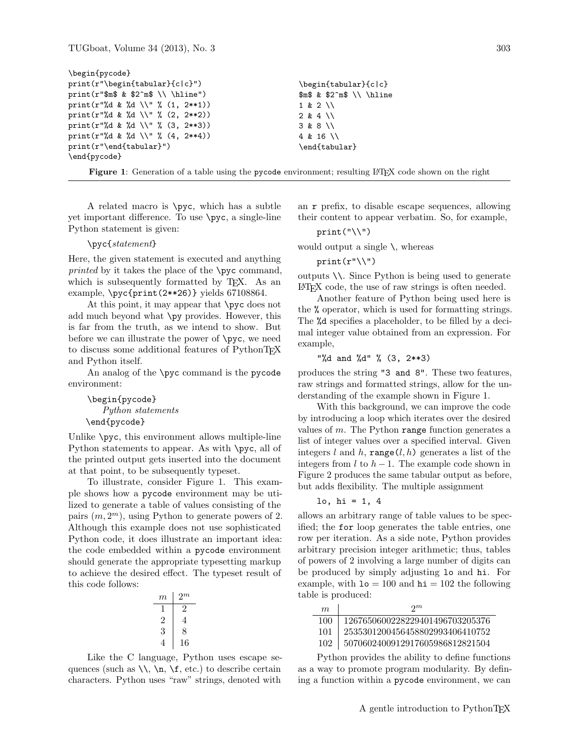| \begin{pycode}                                          |                               |
|---------------------------------------------------------|-------------------------------|
| $print(r"\begin{equation*}tabular\end{equation*}c c}")$ | \begin{tabular}{c c}          |
| print( $r$ "\$m\$ & \$2^m\$ \\ \hline")                 | $m$ \$ & \$2 $m$ \$ \\ \hline |
| print(r"%d & %d \\" % (1, 2**1))                        | $1 & 2 \vee$                  |
| print(r"%d & %d \\" % (2, 2**2))                        | $2 & 4$ \\                    |
| print(r"%d & %d \\" % (3, 2**3))                        | 3 & 8 \\                      |
| print(r"%d & %d \\" % (4, 2**4))                        | $4 & 16$ \\                   |
| $print(r''\end{tabular})$ ")                            | \end{tabular}                 |
| \end{pycode}                                            |                               |
|                                                         |                               |

Figure 1: Generation of a table using the pycode environment; resulting LATEX code shown on the right

A related macro is \pyc, which has a subtle yet important difference. To use \pyc, a single-line Python statement is given:

#### \pyc{statement}

Here, the given statement is executed and anything printed by it takes the place of the \pyc command, which is subsequently formatted by T<sub>E</sub>X. As an example, \pyc{print(2\*\*26)} yields 67108864.

At this point, it may appear that \pyc does not add much beyond what \py provides. However, this is far from the truth, as we intend to show. But before we can illustrate the power of \pyc, we need to discuss some additional features of PythonTEX and Python itself.

An analog of the \pyc command is the pycode environment:

\begin{pycode} Python statements \end{pycode}

Unlike \pyc, this environment allows multiple-line Python statements to appear. As with  $\gamma$ , all of the printed output gets inserted into the document at that point, to be subsequently typeset.

To illustrate, consider Figure 1. This example shows how a pycode environment may be utilized to generate a table of values consisting of the pairs  $(m, 2<sup>m</sup>)$ , using Python to generate powers of 2. Although this example does not use sophisticated Python code, it does illustrate an important idea: the code embedded within a pycode environment should generate the appropriate typesetting markup to achieve the desired effect. The typeset result of this code follows:

| $m\,$ | 2 <sub>m</sub> |
|-------|----------------|
|       | 2              |
|       |                |
| 3     | 8              |
|       | 16             |

Like the C language, Python uses escape sequences (such as  $\setminus$ ,  $\in$ ,  $\setminus$ ,  $\setminus$ ,  $\setminus$ ,  $\setminus$ ,  $\setminus$ ,  $\setminus$ ,  $\setminus$ ,  $\setminus$ ,  $\setminus$ ,  $\setminus$ ,  $\setminus$ ,  $\setminus$ ,  $\setminus$ ,  $\setminus$ ,  $\setminus$ ,  $\setminus$ ,  $\setminus$ ,  $\setminus$ ,  $\setminus$ ,  $\setminus$ ,  $\setminus$ ,  $\setminus$ ,  $\setminus$ ,  $\setminus$ ,  $\setminus$ ,  $\setminus$ ,  $\setminus$ ,  $\$ characters. Python uses "raw" strings, denoted with

an r prefix, to disable escape sequences, allowing their content to appear verbatim. So, for example,

### $print("\\$

would output a single  $\setminus$ , whereas

#### $print(r"\\\)$

outputs \\. Since Python is being used to generate LATEX code, the use of raw strings is often needed.

Another feature of Python being used here is the % operator, which is used for formatting strings. The %d specifies a placeholder, to be filled by a decimal integer value obtained from an expression. For example,

#### "%d and %d" % (3, 2\*\*3)

produces the string "3 and 8". These two features, raw strings and formatted strings, allow for the understanding of the example shown in Figure 1.

With this background, we can improve the code by introducing a loop which iterates over the desired values of  $m$ . The Python range function generates a list of integer values over a specified interval. Given integers l and h, range(l, h) generates a list of the integers from  $l$  to  $h-1$ . The example code shown in Figure 2 produces the same tabular output as before, but adds flexibility. The multiple assignment

### lo, hi = 1, 4

allows an arbitrary range of table values to be specified; the for loop generates the table entries, one row per iteration. As a side note, Python provides arbitrary precision integer arithmetic; thus, tables of powers of 2 involving a large number of digits can be produced by simply adjusting lo and hi. For example, with  $1\sigma = 100$  and  $h\textbf{i} = 102$  the following table is produced:

| m.  | $2^m$                           |
|-----|---------------------------------|
| 100 | 1267650600228229401496703205376 |
| 101 | 2535301200456458802993406410752 |
| 102 | 5070602400912917605986812821504 |

Python provides the ability to define functions as a way to promote program modularity. By defining a function within a pycode environment, we can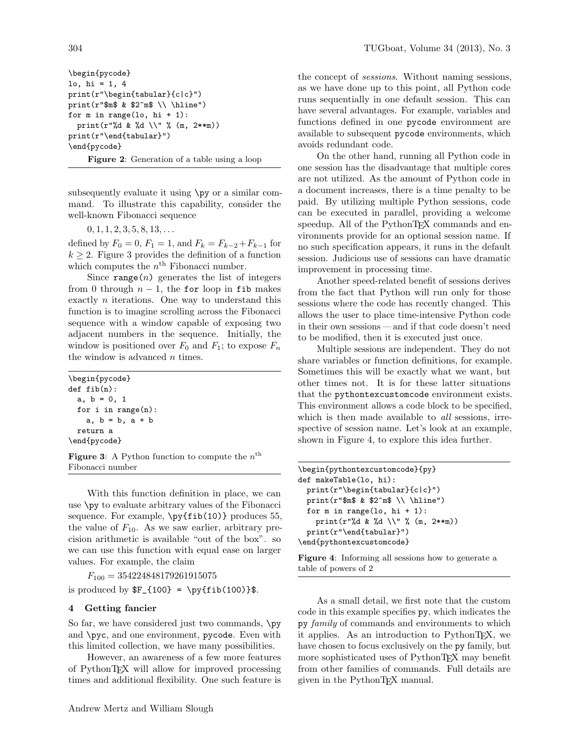\begin{pycode} lo, hi = 1, 4 print(r"\begin{tabular}{c|c}") print(r"\$m\$ & \$2^m\$ \\ \hline") for  $m$  in range(lo,  $hi + 1$ ): print(r"%d & %d \\" % (m, 2\*\*m)) print(r"\end{tabular}") \end{pycode} Figure 2: Generation of a table using a loop

subsequently evaluate it using \py or a similar command. To illustrate this capability, consider the well-known Fibonacci sequence

 $0, 1, 1, 2, 3, 5, 8, 13, \ldots$ 

defined by  $F_0 = 0$ ,  $F_1 = 1$ , and  $F_k = F_{k-2} + F_{k-1}$  for  $k \geq 2$ . Figure 3 provides the definition of a function which computes the  $n<sup>th</sup>$  Fibonacci number.

Since  $range(n)$  generates the list of integers from 0 through  $n-1$ , the for loop in fib makes exactly n iterations. One way to understand this function is to imagine scrolling across the Fibonacci sequence with a window capable of exposing two adjacent numbers in the sequence. Initially, the window is positioned over  $F_0$  and  $F_1$ ; to expose  $F_n$ the window is advanced *n* times.

\begin{pycode} def fib(n): a,  $b = 0, 1$ for i in range(n): a, b = b, a + b return a \end{pycode}

**Figure 3**: A Python function to compute the  $n^{\text{th}}$ Fibonacci number

With this function definition in place, we can use \py to evaluate arbitrary values of the Fibonacci sequence. For example,  $\py{fib(10)}$  produces 55, the value of  $F_{10}$ . As we saw earlier, arbitrary precision arithmetic is available "out of the box". so we can use this function with equal ease on larger values. For example, the claim

 $F_{100} = 354224848179261915075$ 

is produced by  $F_{100} = \py{fib(100)}$ .

## 4 Getting fancier

So far, we have considered just two commands,  $\pmb{\psi}$ and \pyc, and one environment, pycode. Even with this limited collection, we have many possibilities.

However, an awareness of a few more features of PythonTEX will allow for improved processing times and additional flexibility. One such feature is

the concept of *sessions*. Without naming sessions, as we have done up to this point, all Python code runs sequentially in one default session. This can have several advantages. For example, variables and functions defined in one pycode environment are available to subsequent pycode environments, which avoids redundant code.

On the other hand, running all Python code in one session has the disadvantage that multiple cores are not utilized. As the amount of Python code in a document increases, there is a time penalty to be paid. By utilizing multiple Python sessions, code can be executed in parallel, providing a welcome speedup. All of the PythonTEX commands and environments provide for an optional session name. If no such specification appears, it runs in the default session. Judicious use of sessions can have dramatic improvement in processing time.

Another speed-related benefit of sessions derives from the fact that Python will run only for those sessions where the code has recently changed. This allows the user to place time-intensive Python code in their own sessions — and if that code doesn't need to be modified, then it is executed just once.

Multiple sessions are independent. They do not share variables or function definitions, for example. Sometimes this will be exactly what we want, but other times not. It is for these latter situations that the pythontexcustomcode environment exists. This environment allows a code block to be specified, which is then made available to *all* sessions, irrespective of session name. Let's look at an example, shown in Figure 4, to explore this idea further.

```
\begin{pythontexcustomcode}{py}
def makeTable(lo, hi):
 print(r"\begin{tabular}{c|c}")
 print(r"$m$ & $2^m$ \\ \hline")
 for m in range(lo, hi + 1):
    print(r"%d & %d \\" % (m, 2**m))
 print(r"\end{tabular}")
\end{pythontexcustomcode}
```
Figure 4: Informing all sessions how to generate a table of powers of 2

As a small detail, we first note that the custom code in this example specifies py, which indicates the py *family* of commands and environments to which it applies. As an introduction to PythonTEX, we have chosen to focus exclusively on the py family, but more sophisticated uses of PythonTEX may benefit from other families of commands. Full details are given in the PythonT<sub>EX</sub> manual.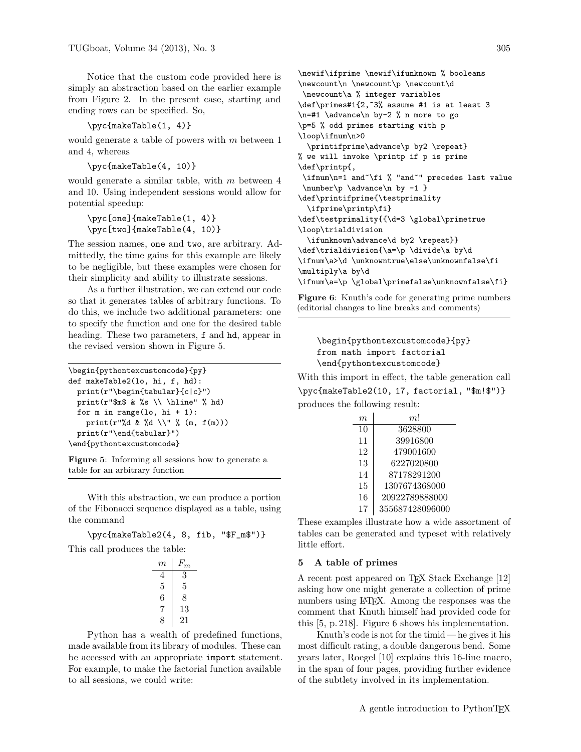Notice that the custom code provided here is simply an abstraction based on the earlier example from Figure 2. In the present case, starting and ending rows can be specified. So,

\pyc{makeTable(1, 4)}

would generate a table of powers with m between 1 and 4, whereas

```
\pyc{makeTable(4, 10)}
```
would generate a similar table, with m between 4 and 10. Using independent sessions would allow for potential speedup:

```
\pyc[one]{makeTable(1, 4)}
\pyc[two]{makeTable(4, 10)}
```
The session names, one and two, are arbitrary. Admittedly, the time gains for this example are likely to be negligible, but these examples were chosen for their simplicity and ability to illustrate sessions.

As a further illustration, we can extend our code so that it generates tables of arbitrary functions. To do this, we include two additional parameters: one to specify the function and one for the desired table heading. These two parameters, f and hd, appear in the revised version shown in Figure 5.

```
\begin{pythontexcustomcode}{py}
def makeTable2(lo, hi, f, hd):
 print(r"\begin{tabular}{c|c}")
 print(r"$m$ & %s \\ \hline" % hd)
 for m in range(lo, hi + 1):
    print(r"%d & %d \\" % (m, f(m)))print(r"\end{tabular}")
\end{pythontexcustomcode}
```
Figure 5: Informing all sessions how to generate a table for an arbitrary function

With this abstraction, we can produce a portion of the Fibonacci sequence displayed as a table, using the command

\pyc{makeTable2(4, 8, fib, "\$F\_m\$")} This call produces the table:

| $m\,$ | $F_m$ |
|-------|-------|
| 4     | 3     |
| 5     | 5     |
| 6     | 8     |
| 7     | 13    |
| x     | 21    |

Python has a wealth of predefined functions, made available from its library of modules. These can be accessed with an appropriate import statement. For example, to make the factorial function available to all sessions, we could write:

\newif\ifprime \newif\ifunknown % booleans \newcount\n \newcount\p \newcount\d \newcount\a % integer variables \def\primes#1{2,~3% assume #1 is at least 3 \n=#1 \advance\n by-2 % n more to go \p=5 % odd primes starting with p \loop\ifnum\n>0 \printifprime\advance\p by2 \repeat} % we will invoke \printp if p is prime \def\printp{, \ifnum\n=1 and~\fi % "and~" precedes last value \number\p \advance\n by -1 } \def\printifprime{\testprimality \ifprime\printp\fi} \def\testprimality{{\d=3 \global\primetrue \loop\trialdivision \ifunknown\advance\d by2 \repeat}} \def\trialdivision{\a=\p \divide\a by\d \ifnum\a>\d \unknowntrue\else\unknownfalse\fi \multiply\a by\d \ifnum\a=\p \global\primefalse\unknownfalse\fi}

Figure 6: Knuth's code for generating prime numbers (editorial changes to line breaks and comments)

```
\begin{pythontexcustomcode}{py}
from math import factorial
\end{pythontexcustomcode}
```
With this import in effect, the table generation call \pyc{makeTable2(10, 17, factorial, "\$m!\$")} produces the following result:

| m  | m!              |
|----|-----------------|
| 10 | 3628800         |
| 11 | 39916800        |
| 12 | 479001600       |
| 13 | 6227020800      |
| 14 | 87178291200     |
| 15 | 1307674368000   |
| 16 | 20922789888000  |
| 17 | 355687428096000 |

These examples illustrate how a wide assortment of tables can be generated and typeset with relatively little effort.

#### 5 A table of primes

A recent post appeared on T<sub>E</sub>X Stack Exchange [12] asking how one might generate a collection of prime numbers using LAT<sub>EX</sub>. Among the responses was the comment that Knuth himself had provided code for this [5, p. 218]. Figure 6 shows his implementation.

Knuth's code is not for the timid  $-$  he gives it his most difficult rating, a double dangerous bend. Some years later, Roegel [10] explains this 16-line macro, in the span of four pages, providing further evidence of the subtlety involved in its implementation.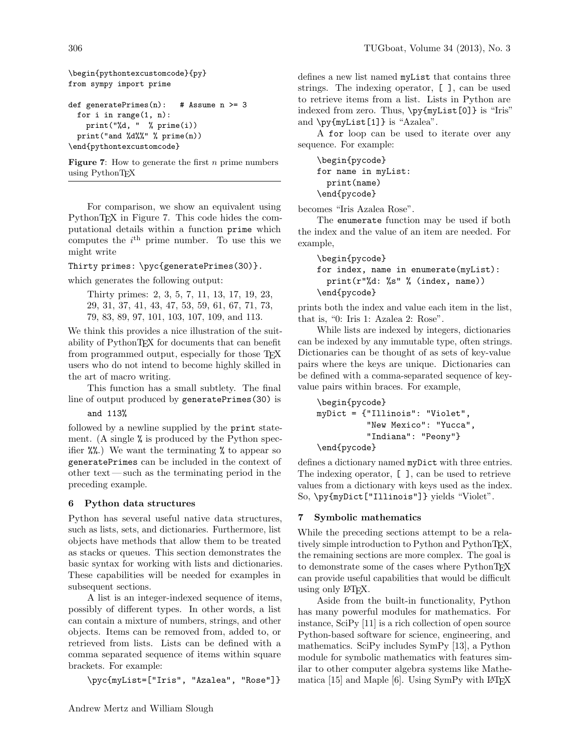```
\begin{pythontexcustomcode}{py}
from sympy import prime
def generatePrimes(n): # Assume n > = 3for i in range(1, n):
   print("%d, " % prime(i))
 print("and %d%%" % prime(n))
\end{pythontexcustomcode}
```
**Figure 7:** How to generate the first  $n$  prime numbers using PythonTFX

For comparison, we show an equivalent using PythonT<sub>F</sub>X in Figure 7. This code hides the computational details within a function prime which computes the  $i<sup>th</sup>$  prime number. To use this we might write

Thirty primes: \pyc{generatePrimes(30)}.

which generates the following output:

Thirty primes: 2, 3, 5, 7, 11, 13, 17, 19, 23, 29, 31, 37, 41, 43, 47, 53, 59, 61, 67, 71, 73, 79, 83, 89, 97, 101, 103, 107, 109, and 113.

We think this provides a nice illustration of the suitability of PythonTEX for documents that can benefit from programmed output, especially for those T<sub>EX</sub> users who do not intend to become highly skilled in the art of macro writing.

This function has a small subtlety. The final line of output produced by generatePrimes(30) is

and 113%

followed by a newline supplied by the print statement. (A single % is produced by the Python specifier  $\mathcal{W}_0$ .) We want the terminating  $\mathcal{U}_0$  to appear so generatePrimes can be included in the context of other text— such as the terminating period in the preceding example.

## 6 Python data structures

Python has several useful native data structures, such as lists, sets, and dictionaries. Furthermore, list objects have methods that allow them to be treated as stacks or queues. This section demonstrates the basic syntax for working with lists and dictionaries. These capabilities will be needed for examples in subsequent sections.

A list is an integer-indexed sequence of items, possibly of different types. In other words, a list can contain a mixture of numbers, strings, and other objects. Items can be removed from, added to, or retrieved from lists. Lists can be defined with a comma separated sequence of items within square brackets. For example:

\pyc{myList=["Iris", "Azalea", "Rose"]}

defines a new list named myList that contains three strings. The indexing operator, [ ], can be used to retrieve items from a list. Lists in Python are indexed from zero. Thus, \py{myList[0]} is "Iris" and  $\py{myList[1]}$  is "Azalea".

A for loop can be used to iterate over any sequence. For example:

```
\begin{pycode}
for name in myList:
 print(name)
\end{pycode}
```
becomes "Iris Azalea Rose".

The enumerate function may be used if both the index and the value of an item are needed. For example,

```
\begin{pycode}
for index, name in enumerate(myList):
 print(r"%d: %s" % (index, name))
\end{pycode}
```
prints both the index and value each item in the list, that is, "0: Iris 1: Azalea 2: Rose".

While lists are indexed by integers, dictionaries can be indexed by any immutable type, often strings. Dictionaries can be thought of as sets of key-value pairs where the keys are unique. Dictionaries can be defined with a comma-separated sequence of keyvalue pairs within braces. For example,

```
\begin{pycode}
myDict = {"Illinois": "Violet",
          "New Mexico": "Yucca",
          "Indiana": "Peony"}
\end{pycode}
```
defines a dictionary named myDict with three entries. The indexing operator, [ ], can be used to retrieve values from a dictionary with keys used as the index. So, \py{myDict["Illinois"]} yields "Violet".

# 7 Symbolic mathematics

While the preceding sections attempt to be a relatively simple introduction to Python and PythonTEX, the remaining sections are more complex. The goal is to demonstrate some of the cases where PythonTEX can provide useful capabilities that would be difficult using only L<sup>AT</sup>FX.

Aside from the built-in functionality, Python has many powerful modules for mathematics. For instance, SciPy [11] is a rich collection of open source Python-based software for science, engineering, and mathematics. SciPy includes SymPy [13], a Python module for symbolic mathematics with features similar to other computer algebra systems like Mathematica  $[15]$  and Maple  $[6]$ . Using SymPy with LATEX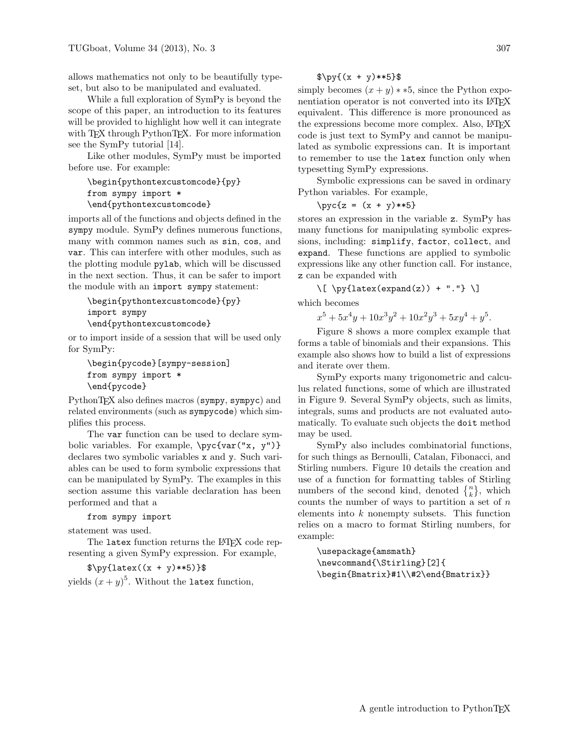allows mathematics not only to be beautifully typeset, but also to be manipulated and evaluated.

While a full exploration of SymPy is beyond the scope of this paper, an introduction to its features will be provided to highlight how well it can integrate with TEX through PythonTEX. For more information see the SymPy tutorial [14].

Like other modules, SymPy must be imported before use. For example:

\begin{pythontexcustomcode}{py} from sympy import \* \end{pythontexcustomcode}

imports all of the functions and objects defined in the sympy module. SymPy defines numerous functions, many with common names such as sin, cos, and var. This can interfere with other modules, such as the plotting module pylab, which will be discussed in the next section. Thus, it can be safer to import the module with an import sympy statement:

```
\begin{pythontexcustomcode}{py}
import sympy
\end{pythontexcustomcode}
```
or to import inside of a session that will be used only for SymPy:

```
\begin{pycode}[sympy-session]
from sympy import *
\end{pycode}
```
PythonT<sub>E</sub>X also defines macros (sympy, sympyc) and related environments (such as sympycode) which simplifies this process.

The var function can be used to declare symbolic variables. For example,  $\pyc\{var("x, y")\}$ declares two symbolic variables x and y. Such variables can be used to form symbolic expressions that can be manipulated by SymPy. The examples in this section assume this variable declaration has been performed and that a

## from sympy import

statement was used.

The latex function returns the LATEX code representing a given SymPy expression. For example,

```
\pmb{\text{1}}
```
yields  $(x + y)^5$ . Without the latex function,

$$
\pmb{\text{y}^{\text{tx + y**5}}
$$

simply becomes  $(x + y) * *5$ , since the Python exponentiation operator is not converted into its LAT<sub>EX</sub> equivalent. This difference is more pronounced as the expressions become more complex. Also, LATEX code is just text to SymPy and cannot be manipulated as symbolic expressions can. It is important to remember to use the latex function only when typesetting SymPy expressions.

Symbolic expressions can be saved in ordinary Python variables. For example,

$$
\text{yc{z} = (x + y)**5}
$$

stores an expression in the variable z. SymPy has many functions for manipulating symbolic expressions, including: simplify, factor, collect, and expand. These functions are applied to symbolic expressions like any other function call. For instance, z can be expanded with

 $\[\ \psi\$  \[ \py{latex(expand(z)) + "."} \] which becomes

 $x^5 + 5x^4y + 10x^3y^2 + 10x^2y^3 + 5xy^4 + y^5$ .

Figure 8 shows a more complex example that forms a table of binomials and their expansions. This example also shows how to build a list of expressions and iterate over them.

SymPy exports many trigonometric and calculus related functions, some of which are illustrated in Figure 9. Several SymPy objects, such as limits, integrals, sums and products are not evaluated automatically. To evaluate such objects the doit method may be used.

SymPy also includes combinatorial functions, for such things as Bernoulli, Catalan, Fibonacci, and Stirling numbers. Figure 10 details the creation and use of a function for formatting tables of Stirling numbers of the second kind, denoted  $\{n\brace k$ , which counts the number of ways to partition a set of  $n$ elements into  $k$  nonempty subsets. This function relies on a macro to format Stirling numbers, for example:

```
\usepackage{amsmath}
\newcommand{\Stirling}[2]{
\begin{Bmatrix}#1\\#2\end{Bmatrix}}
```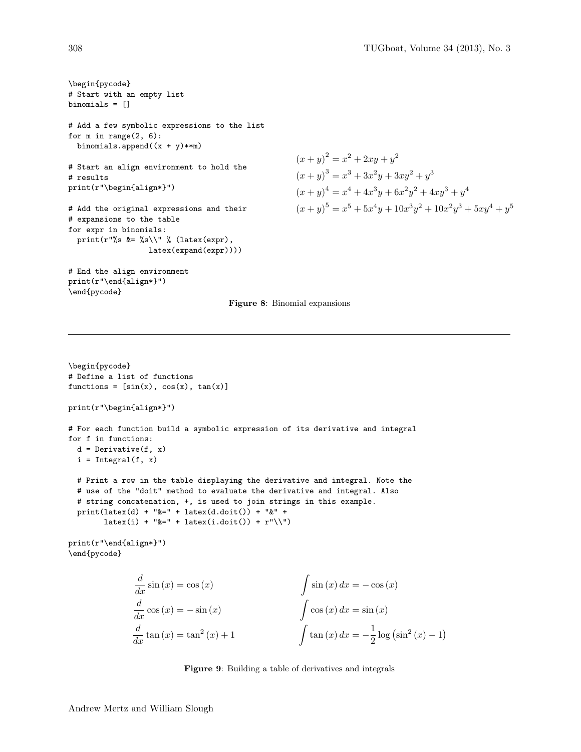```
\begin{pycode}
# Start with an empty list
binomials = []
# Add a few symbolic expressions to the list
for m in range(2, 6):
 binomials.append((x + y) * *m)# Start an align environment to hold the
# results
print(r"\begin{align*}")
# Add the original expressions and their
# expansions to the table
for expr in binomials:
 print(r"%s &= %s\\" % (latex(expr),
                  latex(expand(expr))))
# End the align environment
print(r"\end{align*}")
```

$$
(x + y)2 = x2 + 2xy + y2
$$
  
(x + y)<sup>3</sup> = x<sup>3</sup> + 3x<sup>2</sup>y + 3xy<sup>2</sup> + y<sup>3</sup>  
(x + y)<sup>4</sup> = x<sup>4</sup> + 4x<sup>3</sup>y + 6x<sup>2</sup>y<sup>2</sup> + 4xy<sup>3</sup> + y<sup>4</sup>  
(x + y)<sup>5</sup> = x<sup>5</sup> + 5x<sup>4</sup>y + 10x<sup>3</sup>y<sup>2</sup> + 10x<sup>2</sup>y<sup>3</sup> + 5xy<sup>4</sup> + y<sup>5</sup>

Figure 8: Binomial expansions

```
\begin{pycode}
# Define a list of functions
functions = [sin(x), cos(x), tan(x)]print(r"\begin{align*}")
# For each function build a symbolic expression of its derivative and integral
for f in functions:
 d = Derivative(f, x)i = Integral(f, x)# Print a row in the table displaying the derivative and integral. Note the
 # use of the "doit" method to evaluate the derivative and integral. Also
 # string concatenation, +, is used to join strings in this example.
 print(latex(d) + "&=" + latex(d.doit()) + "&" +
        latex(i) + \forall x = 1 + latex(i.doit()) + \Upsilon''print(r"\end{align*}")
```
\end{pycode}

\end{pycode}

$$
\frac{d}{dx}\sin(x) = \cos(x) \qquad \qquad \int \sin(x) dx = -\cos(x)
$$

$$
\frac{d}{dx}\cos(x) = -\sin(x) \qquad \qquad \int \cos(x) dx = \sin(x)
$$

$$
\frac{d}{dx}\tan(x) = \tan^2(x) + 1 \qquad \qquad \int \tan(x) dx = -\frac{1}{2}\log(\sin^2(x) - 1)
$$

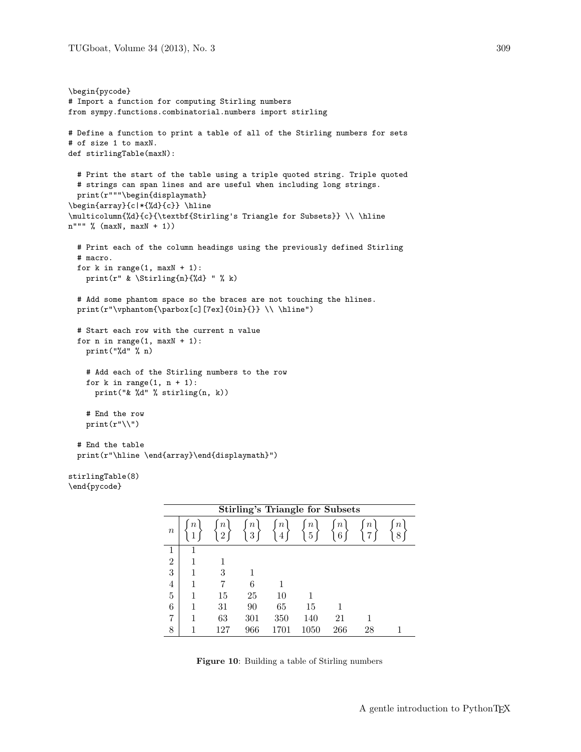```
\begin{pycode}
# Import a function for computing Stirling numbers
from sympy.functions.combinatorial.numbers import stirling
# Define a function to print a table of all of the Stirling numbers for sets
# of size 1 to maxN.
def stirlingTable(maxN):
 # Print the start of the table using a triple quoted string. Triple quoted
 # strings can span lines and are useful when including long strings.
 print(r"""\begin{displaymath}
\begin{array}{c|*{%d}{c}} \hline
\multicolumn{%d}{c}{\textbf{Stirling's Triangle for Subsets}} \\ \hline
n""" % (maxN, maxN + 1))
 # Print each of the column headings using the previously defined Stirling
 # macro.
 for k in range(1, maxN + 1):
   print(r" & \Stirling{n}{%d} " % k)
  # Add some phantom space so the braces are not touching the hlines.
 print(r"\vphantom{\varepsilon}[c][7ex]{0in}{}) \ \\hbox{hline"})# Start each row with the current n value
 for n in range(1, maxN + 1):
   print("%d" % n)
    # Add each of the Stirling numbers to the row
    for k in range(1, n + 1):
     print("& %d" % stirling(n, k))
    # End the row
   print(r"\backslash\# End the table
 print(r"\hline \end{array}\end{displaymath}")
stirlingTable(8)
```

```
\end{pycode}
```

| <b>Stirling's Triangle for Subsets</b> |         |                                   |                          |                                   |                                    |                             |          |                       |
|----------------------------------------|---------|-----------------------------------|--------------------------|-----------------------------------|------------------------------------|-----------------------------|----------|-----------------------|
| $\boldsymbol{n}$                       | $\it n$ | $\boldsymbol{n}$<br>$\mathcal{D}$ | $\, n$<br>$\overline{3}$ | $\boldsymbol{n}$<br>$\frac{1}{4}$ | $\boldsymbol{n}$<br>$\overline{5}$ | $\, n \,$<br>$\overline{6}$ | $\it{n}$ | $\boldsymbol{n}$<br>8 |
| 1                                      | 1       |                                   |                          |                                   |                                    |                             |          |                       |
| $\overline{2}$                         | 1       | 1                                 |                          |                                   |                                    |                             |          |                       |
| 3                                      | 1       | 3                                 |                          |                                   |                                    |                             |          |                       |
| 4                                      | 1       |                                   | 6                        |                                   |                                    |                             |          |                       |
| 5                                      | 1       | 15                                | 25                       | 10                                |                                    |                             |          |                       |
| 6                                      | 1       | 31                                | 90                       | 65                                | 15                                 | 1                           |          |                       |
| 7                                      | 1       | 63                                | 301                      | 350                               | 140                                | 21                          |          |                       |
| 8                                      | 1       | 127                               | 966                      | 1701                              | 1050                               | 266                         | 28       |                       |

Figure 10: Building a table of Stirling numbers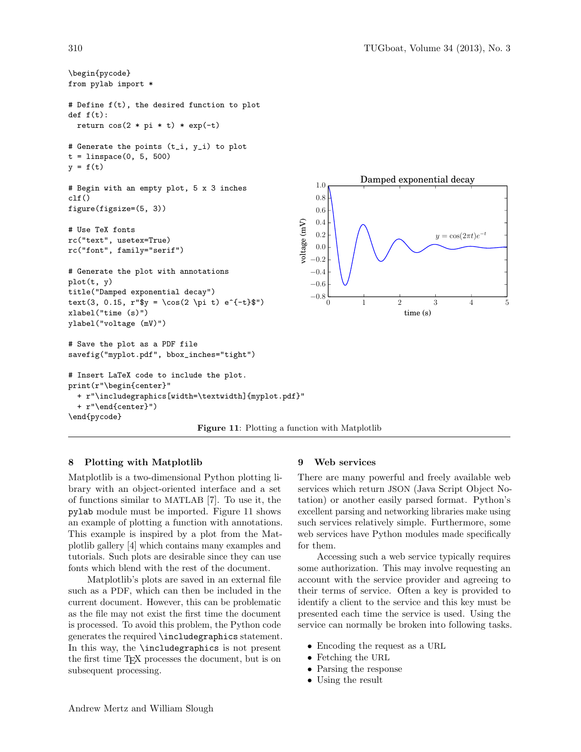

## 8 Plotting with Matplotlib

Matplotlib is a two-dimensional Python plotting library with an object-oriented interface and a set of functions similar to MATLAB [7]. To use it, the pylab module must be imported. Figure 11 shows an example of plotting a function with annotations. This example is inspired by a plot from the Matplotlib gallery [4] which contains many examples and tutorials. Such plots are desirable since they can use fonts which blend with the rest of the document.

Matplotlib's plots are saved in an external file such as a PDF, which can then be included in the current document. However, this can be problematic as the file may not exist the first time the document is processed. To avoid this problem, the Python code generates the required \includegraphics statement. In this way, the \includegraphics is not present the first time TEX processes the document, but is on subsequent processing.

### 9 Web services

There are many powerful and freely available web services which return JSON (Java Script Object Notation) or another easily parsed format. Python's excellent parsing and networking libraries make using such services relatively simple. Furthermore, some web services have Python modules made specifically for them.

Accessing such a web service typically requires some authorization. This may involve requesting an account with the service provider and agreeing to their terms of service. Often a key is provided to identify a client to the service and this key must be presented each time the service is used. Using the service can normally be broken into following tasks.

- Encoding the request as a URL
- Fetching the URL
- Parsing the response
- Using the result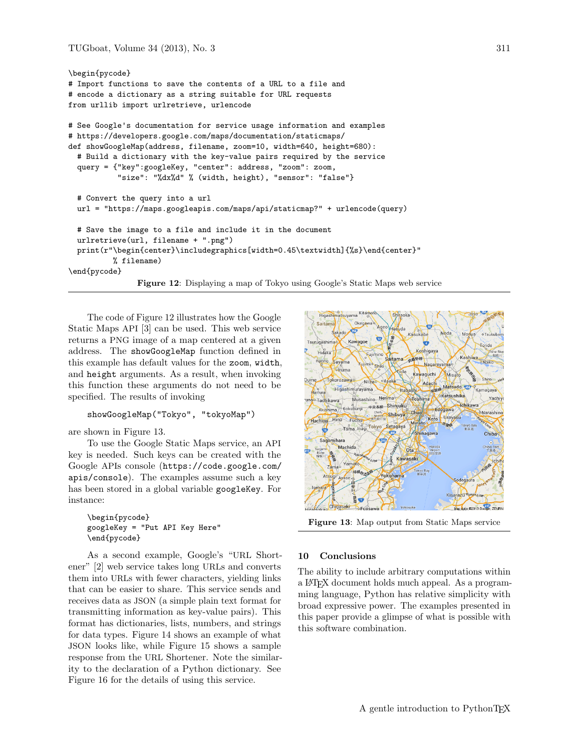```
\begin{pycode}
# Import functions to save the contents of a URL to a file and
# encode a dictionary as a string suitable for URL requests
from urllib import urlretrieve, urlencode
# See Google's documentation for service usage information and examples
# https://developers.google.com/maps/documentation/staticmaps/
def showGoogleMap(address, filename, zoom=10, width=640, height=680):
  # Build a dictionary with the key-value pairs required by the service
  query = {"key":googleKey, "center": address, "zoom": zoom,
           "size": "%dx%d" % (width, height), "sensor": "false"}
  # Convert the query into a url
 url = "https://maps.googleapis.com/maps/api/staticmap?" + urlencode(query)
  # Save the image to a file and include it in the document
 urlretrieve(url, filename + ".png")
 print(r"\begin{center}\includegraphics[width=0.45\textwidth]{%s}\end{center}"
          % filename)
\end{pycode}
               Figure 12: Displaying a map of Tokyo using Google's Static Maps web service
```
The code of Figure 12 illustrates how the Google Static Maps API [3] can be used. This web service returns a PNG image of a map centered at a given address. The showGoogleMap function defined in this example has default values for the zoom, width, and height arguments. As a result, when invoking this function these arguments do not need to be specified. The results of invoking

#### showGoogleMap("Tokyo", "tokyoMap")

are shown in Figure 13.

To use the Google Static Maps service, an API key is needed. Such keys can be created with the Google APIs console (https://code.google.com/ apis/console). The examples assume such a key has been stored in a global variable googleKey. For instance:

\begin{pycode} googleKey = "Put API Key Here" \end{pycode}

As a second example, Google's "URL Shortener" [2] web service takes long URLs and converts them into URLs with fewer characters, yielding links that can be easier to share. This service sends and receives data as JSON (a simple plain text format for transmitting information as key-value pairs). This format has dictionaries, lists, numbers, and strings for data types. Figure 14 shows an example of what JSON looks like, while Figure 15 shows a sample response from the URL Shortener. Note the similarity to the declaration of a Python dictionary. See Figure 16 for the details of using this service.



Figure 13: Map output from Static Maps service

#### 10 Conclusions

The ability to include arbitrary computations within a LATEX document holds much appeal. As a programming language, Python has relative simplicity with broad expressive power. The examples presented in this paper provide a glimpse of what is possible with this software combination.